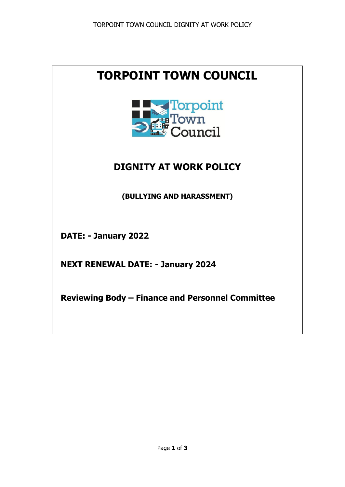# **TORPOINT TOWN COUNCIL**



# **DIGNITY AT WORK POLICY**

**(BULLYING AND HARASSMENT)**

**DATE: - January 2022**

**NEXT RENEWAL DATE: - January 2024**

**Reviewing Body – Finance and Personnel Committee**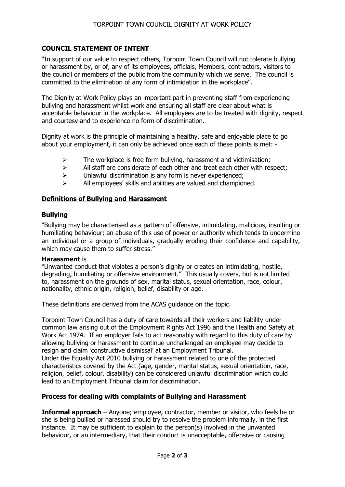# **COUNCIL STATEMENT OF INTENT**

"In support of our value to respect others, Torpoint Town Council will not tolerate bullying or harassment by, or of, any of its employees, officials, Members, contractors, visitors to the council or members of the public from the community which we serve. The council is committed to the elimination of any form of intimidation in the workplace".

The Dignity at Work Policy plays an important part in preventing staff from experiencing bullying and harassment whilst work and ensuring all staff are clear about what is acceptable behaviour in the workplace. All employees are to be treated with dignity, respect and courtesy and to experience no form of discrimination.

Dignity at work is the principle of maintaining a healthy, safe and enjoyable place to go about your employment, it can only be achieved once each of these points is met: -

- $\triangleright$  The workplace is free form bullying, harassment and victimisation;
- $\triangleright$  All staff are considerate of each other and treat each other with respect;
- $\triangleright$  Unlawful discrimination is any form is never experienced;
- $\triangleright$  All employees' skills and abilities are valued and championed.

### **Definitions of Bullying and Harassment**

#### **Bullying**

"Bullying may be characterised as a pattern of offensive, intimidating, malicious, insulting or humiliating behaviour; an abuse of this use of power or authority which tends to undermine an individual or a group of individuals, gradually eroding their confidence and capability, which may cause them to suffer stress."

#### **Harassment** is

"Unwanted conduct that violates a person's dignity or creates an intimidating, hostile, degrading, humiliating or offensive environment." This usually covers, but is not limited to, harassment on the grounds of sex, marital status, sexual orientation, race, colour, nationality, ethnic origin, religion, belief, disability or age.

These definitions are derived from the ACAS guidance on the topic.

Torpoint Town Council has a duty of care towards all their workers and liability under common law arising out of the Employment Rights Act 1996 and the Health and Safety at Work Act 1974. If an employer fails to act reasonably with regard to this duty of care by allowing bullying or harassment to continue unchallenged an employee may decide to resign and claim 'constructive dismissal' at an Employment Tribunal. Under the Equality Act 2010 bullying or harassment related to one of the protected

characteristics covered by the Act (age, gender, marital status, sexual orientation, race, religion, belief, colour, disability) can be considered unlawful discrimination which could lead to an Employment Tribunal claim for discrimination.

# **Process for dealing with complaints of Bullying and Harassment**

**Informal approach** – Anyone; employee, contractor, member or visitor, who feels he or she is being bullied or harassed should try to resolve the problem informally, in the first instance. It may be sufficient to explain to the person(s) involved in the unwanted behaviour, or an intermediary, that their conduct is unacceptable, offensive or causing